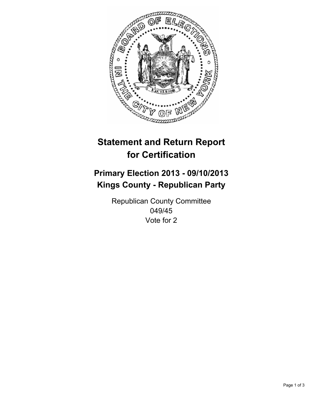

# **Statement and Return Report for Certification**

# **Primary Election 2013 - 09/10/2013 Kings County - Republican Party**

Republican County Committee 049/45 Vote for 2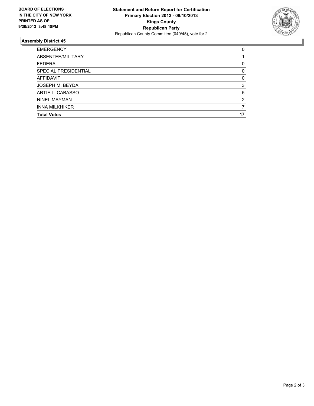

## **Assembly District 45**

| ABSENTEE/MILITARY     | 0        |
|-----------------------|----------|
|                       |          |
| <b>FEDERAL</b>        |          |
| SPECIAL PRESIDENTIAL  | $\Omega$ |
| AFFIDAVIT             | 0        |
| JOSEPH M. BEYDA       | 3        |
| ARTIE L. CABASSO      | 5        |
| <b>NINEL MAYMAN</b>   | 2        |
| <b>INNA MILKHIKER</b> |          |
| <b>Total Votes</b>    | 17       |